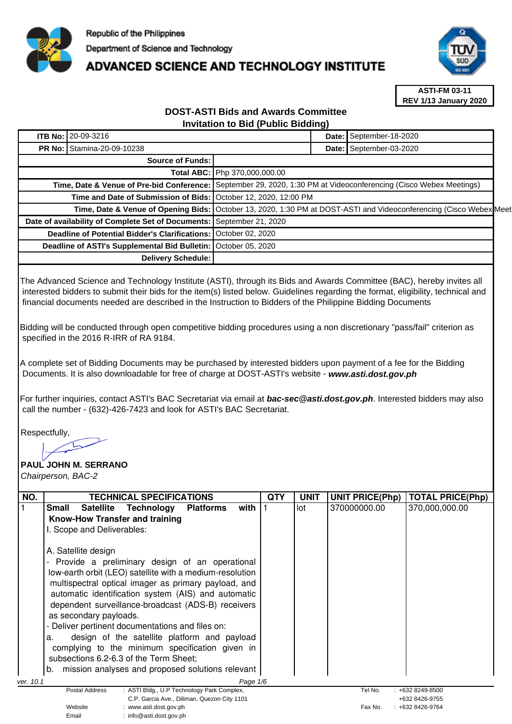

# **ADVANCED SCIENCE AND TECHNOLOGY INSTITUTE**



**ASTI-FM 03-11 REV 1/13 January 2020**

## **DOST-ASTI Bids and Awards Committee Invitation to Bid (Public Bidding)**

| <b>ITB No: 20-09-3216</b>                             |                                                                                                                    |                                                                         | Date: September-18-2020 |  |  |
|-------------------------------------------------------|--------------------------------------------------------------------------------------------------------------------|-------------------------------------------------------------------------|-------------------------|--|--|
| <b>PR No: Stamina-20-09-10238</b>                     |                                                                                                                    |                                                                         | Date: September-03-2020 |  |  |
| Source of Funds:                                      |                                                                                                                    |                                                                         |                         |  |  |
|                                                       | Total ABC: Php 370,000,000.00                                                                                      |                                                                         |                         |  |  |
| Time, Date & Venue of Pre-bid Conference:             |                                                                                                                    | September 29, 2020, 1:30 PM at Videoconferencing (Cisco Webex Meetings) |                         |  |  |
| Time and Date of Submission of Bids:                  | October 12, 2020, 12:00 PM                                                                                         |                                                                         |                         |  |  |
|                                                       | Time, Date & Venue of Opening Bids: October 13, 2020, 1:30 PM at DOST-ASTI and Videoconferencing (Cisco Webex Meet |                                                                         |                         |  |  |
| Date of availability of Complete Set of Documents:    | September 21, 2020                                                                                                 |                                                                         |                         |  |  |
| <b>Deadline of Potential Bidder's Clarifications:</b> | October 02, 2020                                                                                                   |                                                                         |                         |  |  |
| Deadline of ASTI's Supplemental Bid Bulletin:         | October 05, 2020                                                                                                   |                                                                         |                         |  |  |
| Delivery Schedule:                                    |                                                                                                                    |                                                                         |                         |  |  |

The Advanced Science and Technology Institute (ASTI), through its Bids and Awards Committee (BAC), hereby invites all interested bidders to submit their bids for the item(s) listed below. Guidelines regarding the format, eligibility, technical and financial documents needed are described in the Instruction to Bidders of the Philippine Bidding Documents

Bidding will be conducted through open competitive bidding procedures using a non discretionary "pass/fail" criterion as specified in the 2016 R-IRR of RA 9184.

A complete set of Bidding Documents may be purchased by interested bidders upon payment of a fee for the Bidding Documents. It is also downloadable for free of charge at DOST-ASTI's website - **www.asti.dost.gov.ph**

For further inquiries, contact ASTI's BAC Secretariat via email at **bac-sec@asti.dost.gov.ph**. Interested bidders may also call the number - (632)-426-7423 and look for ASTI's BAC Secretariat.

Respectfully,

#### **PAUL JOHN M. SERRANO**  Chairperson, BAC-2

| NO.                                                | <b>TECHNICAL SPECIFICATIONS</b>                                  |     | <b>UNIT</b> | <b>UNIT PRICE(Php)</b> | <b>TOTAL PRICE(Php)</b> |
|----------------------------------------------------|------------------------------------------------------------------|-----|-------------|------------------------|-------------------------|
|                                                    |                                                                  | QTY |             |                        |                         |
|                                                    | Satellite Technology<br><b>Platforms</b><br>with<br><b>Small</b> |     | lot         | 370000000.00           | 370,000,000.00          |
|                                                    | Know-How Transfer and training                                   |     |             |                        |                         |
|                                                    | I. Scope and Deliverables:                                       |     |             |                        |                         |
|                                                    |                                                                  |     |             |                        |                         |
|                                                    | A. Satellite design                                              |     |             |                        |                         |
| Provide a preliminary design of an operational     |                                                                  |     |             |                        |                         |
|                                                    | low-earth orbit (LEO) satellite with a medium-resolution         |     |             |                        |                         |
|                                                    |                                                                  |     |             |                        |                         |
|                                                    | multispectral optical imager as primary payload, and             |     |             |                        |                         |
|                                                    | automatic identification system (AIS) and automatic              |     |             |                        |                         |
|                                                    | dependent surveillance-broadcast (ADS-B) receivers               |     |             |                        |                         |
| as secondary payloads.                             |                                                                  |     |             |                        |                         |
| - Deliver pertinent documentations and files on:   |                                                                  |     |             |                        |                         |
| design of the satellite platform and payload<br>a. |                                                                  |     |             |                        |                         |
|                                                    | complying to the minimum specification given in                  |     |             |                        |                         |
|                                                    | subsections 6.2-6.3 of the Term Sheet;                           |     |             |                        |                         |
|                                                    |                                                                  |     |             |                        |                         |
|                                                    | mission analyses and proposed solutions relevant<br>b.           |     |             |                        |                         |
| ver. 10.1                                          | Page 1/6                                                         |     |             |                        |                         |
|                                                    | : ASTI Bldg., U.P Technology Park Complex,<br>Postal Address     |     |             | Tel No.                | $: +6328249 - 8500$     |
|                                                    | C.P. Garcia Ave., Diliman, Quezon City 1101                      |     |             |                        | +632 8426-9755          |
|                                                    | Website<br>: www.asti.dost.gov.ph                                |     |             | Fax No.                | $: +6328426 - 9764$     |
|                                                    | $\cdot$ info@asti dost gov ph<br>Fmail                           |     |             |                        |                         |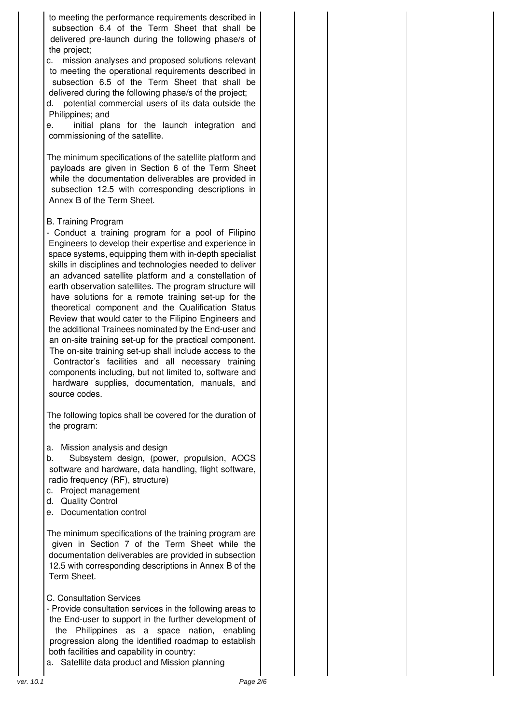to meeting the performance requirements described in subsection 6.4 of the Term Sheet that shall be delivered pre-launch during the following phase/s of the project;

c. mission analyses and proposed solutions relevant to meeting the operational requirements described in subsection 6.5 of the Term Sheet that shall be delivered during the following phase/s of the project;

d. potential commercial users of its data outside the Philippines; and

e. initial plans for the launch integration and commissioning of the satellite.

The minimum specifications of the satellite platform and payloads are given in Section 6 of the Term Sheet while the documentation deliverables are provided in subsection 12.5 with corresponding descriptions in Annex B of the Term Sheet.

#### B. Training Program

- Conduct a training program for a pool of Filipino Engineers to develop their expertise and experience in space systems, equipping them with in-depth specialist skills in disciplines and technologies needed to deliver an advanced satellite platform and a constellation of earth observation satellites. The program structure will have solutions for a remote training set-up for the theoretical component and the Qualification Status Review that would cater to the Filipino Engineers and the additional Trainees nominated by the End-user and an on-site training set-up for the practical component. The on-site training set-up shall include access to the

Contractor's facilities and all necessary training components including, but not limited to, software and hardware supplies, documentation, manuals, and source codes.

The following topics shall be covered for the duration of the program:

a. Mission analysis and design

b. Subsystem design, (power, propulsion, AOCS software and hardware, data handling, flight software, radio frequency (RF), structure)

- c. Project management
- d. Quality Control
- e. Documentation control

The minimum specifications of the training program are given in Section 7 of the Term Sheet while the documentation deliverables are provided in subsection 12.5 with corresponding descriptions in Annex B of the Term Sheet.

- C. Consultation Services
- Provide consultation services in the following areas to the End-user to support in the further development of the Philippines as a space nation, enabling progression along the identified roadmap to establish both facilities and capability in country:
- a. Satellite data product and Mission planning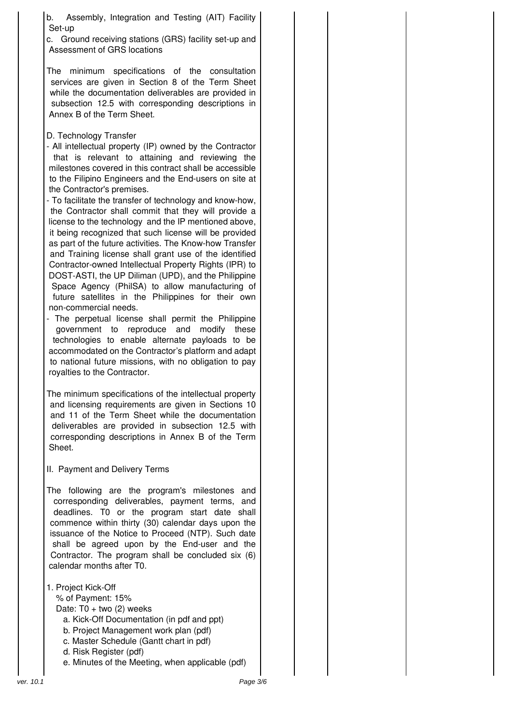b. Assembly, Integration and Testing (AIT) Facility Set-up

c. Ground receiving stations (GRS) facility set-up and Assessment of GRS locations

The minimum specifications of the consultation services are given in Section 8 of the Term Sheet while the documentation deliverables are provided in subsection 12.5 with corresponding descriptions in Annex B of the Term Sheet.

D. Technology Transfer

- All intellectual property (IP) owned by the Contractor that is relevant to attaining and reviewing the milestones covered in this contract shall be accessible to the Filipino Engineers and the End-users on site at the Contractor's premises.

- To facilitate the transfer of technology and know-how, the Contractor shall commit that they will provide a license to the technology and the IP mentioned above, it being recognized that such license will be provided as part of the future activities. The Know-how Transfer and Training license shall grant use of the identified Contractor-owned Intellectual Property Rights (IPR) to DOST-ASTI, the UP Diliman (UPD), and the Philippine Space Agency (PhilSA) to allow manufacturing of future satellites in the Philippines for their own non-commercial needs.

The perpetual license shall permit the Philippine government to reproduce and modify these technologies to enable alternate payloads to be accommodated on the Contractor's platform and adapt to national future missions, with no obligation to pay royalties to the Contractor.

The minimum specifications of the intellectual property and licensing requirements are given in Sections 10 and 11 of the Term Sheet while the documentation deliverables are provided in subsection 12.5 with corresponding descriptions in Annex B of the Term Sheet.

II. Payment and Delivery Terms

The following are the program's milestones and corresponding deliverables, payment terms, and deadlines. T0 or the program start date shall commence within thirty (30) calendar days upon the issuance of the Notice to Proceed (NTP). Such date shall be agreed upon by the End-user and the Contractor. The program shall be concluded six (6) calendar months after T0.

1. Project Kick-Off

% of Payment: 15%

Date:  $T0 + two$  (2) weeks

- a. Kick-Off Documentation (in pdf and ppt)
- b. Project Management work plan (pdf)
- c. Master Schedule (Gantt chart in pdf)
- d. Risk Register (pdf)
- e. Minutes of the Meeting, when applicable (pdf)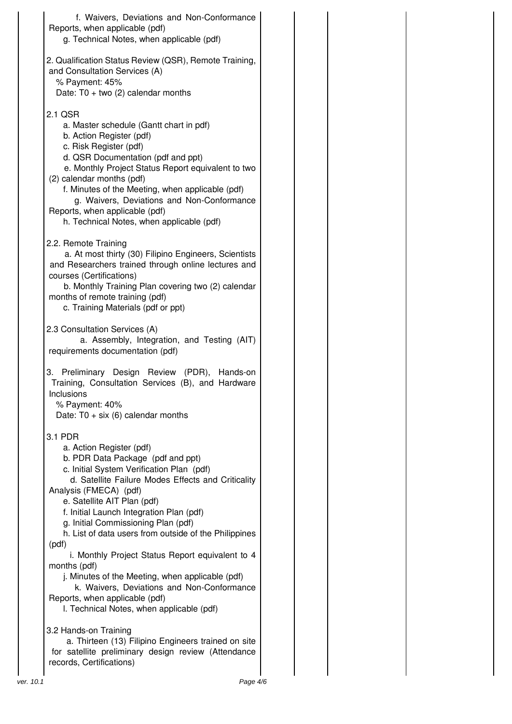|           | f. Waivers, Deviations and Non-Conformance<br>Reports, when applicable (pdf)<br>g. Technical Notes, when applicable (pdf)                                                                                                                                                                                                                                                                                                                                                                                                                                       |  |
|-----------|-----------------------------------------------------------------------------------------------------------------------------------------------------------------------------------------------------------------------------------------------------------------------------------------------------------------------------------------------------------------------------------------------------------------------------------------------------------------------------------------------------------------------------------------------------------------|--|
|           | 2. Qualification Status Review (QSR), Remote Training,<br>and Consultation Services (A)<br>% Payment: 45%<br>Date: T0 + two (2) calendar months                                                                                                                                                                                                                                                                                                                                                                                                                 |  |
|           | 2.1 QSR<br>a. Master schedule (Gantt chart in pdf)<br>b. Action Register (pdf)<br>c. Risk Register (pdf)<br>d. QSR Documentation (pdf and ppt)<br>e. Monthly Project Status Report equivalent to two<br>(2) calendar months (pdf)<br>f. Minutes of the Meeting, when applicable (pdf)<br>g. Waivers, Deviations and Non-Conformance<br>Reports, when applicable (pdf)<br>h. Technical Notes, when applicable (pdf)                                                                                                                                              |  |
|           | 2.2. Remote Training<br>a. At most thirty (30) Filipino Engineers, Scientists<br>and Researchers trained through online lectures and<br>courses (Certifications)<br>b. Monthly Training Plan covering two (2) calendar<br>months of remote training (pdf)<br>c. Training Materials (pdf or ppt)                                                                                                                                                                                                                                                                 |  |
|           | 2.3 Consultation Services (A)<br>a. Assembly, Integration, and Testing (AIT)<br>requirements documentation (pdf)                                                                                                                                                                                                                                                                                                                                                                                                                                                |  |
|           | 3. Preliminary Design Review (PDR), Hands-on<br>Training, Consultation Services (B), and Hardware<br>Inclusions<br>% Payment: 40%<br>Date: $T0 + six$ (6) calendar months                                                                                                                                                                                                                                                                                                                                                                                       |  |
|           | 3.1 PDR<br>a. Action Register (pdf)<br>b. PDR Data Package (pdf and ppt)<br>c. Initial System Verification Plan (pdf)<br>d. Satellite Failure Modes Effects and Criticality<br>Analysis (FMECA) (pdf)<br>e. Satellite AIT Plan (pdf)<br>f. Initial Launch Integration Plan (pdf)<br>g. Initial Commissioning Plan (pdf)<br>h. List of data users from outside of the Philippines<br>(pdf)<br>i. Monthly Project Status Report equivalent to 4<br>months (pdf)<br>j. Minutes of the Meeting, when applicable (pdf)<br>k. Waivers, Deviations and Non-Conformance |  |
|           | Reports, when applicable (pdf)<br>I. Technical Notes, when applicable (pdf)                                                                                                                                                                                                                                                                                                                                                                                                                                                                                     |  |
|           | 3.2 Hands-on Training<br>a. Thirteen (13) Filipino Engineers trained on site<br>for satellite preliminary design review (Attendance<br>records, Certifications)                                                                                                                                                                                                                                                                                                                                                                                                 |  |
| ver. 10.1 | Page 4/6                                                                                                                                                                                                                                                                                                                                                                                                                                                                                                                                                        |  |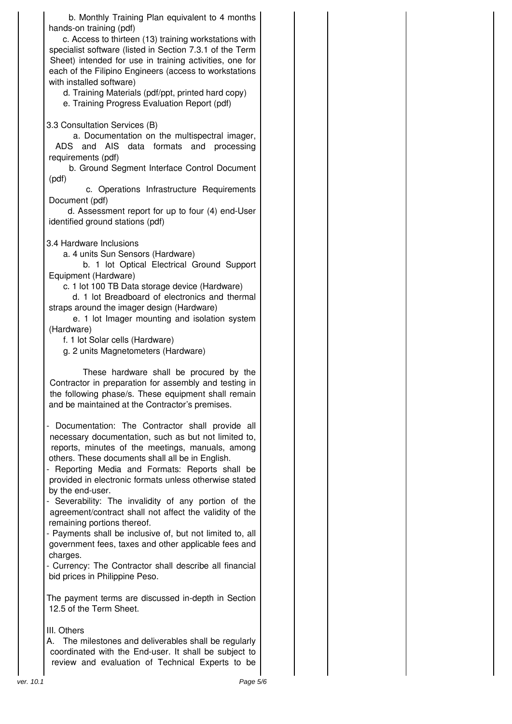b. Monthly Training Plan equivalent to 4 months hands-on training (pdf)

c. Access to thirteen (13) training workstations with specialist software (listed in Section 7.3.1 of the Term Sheet) intended for use in training activities, one for each of the Filipino Engineers (access to workstations with installed software)

d. Training Materials (pdf/ppt, printed hard copy)

e. Training Progress Evaluation Report (pdf)

3.3 Consultation Services (B)

a. Documentation on the multispectral imager, ADS and AIS data formats and processing requirements (pdf)

b. Ground Segment Interface Control Document (pdf)

c. Operations Infrastructure Requirements Document (pdf)

d. Assessment report for up to four (4) end-User identified ground stations (pdf)

3.4 Hardware Inclusions

a. 4 units Sun Sensors (Hardware)

b. 1 lot Optical Electrical Ground Support Equipment (Hardware)

c. 1 lot 100 TB Data storage device (Hardware)

d. 1 lot Breadboard of electronics and thermal straps around the imager design (Hardware)

e. 1 lot Imager mounting and isolation system (Hardware)

f. 1 lot Solar cells (Hardware)

g. 2 units Magnetometers (Hardware)

These hardware shall be procured by the Contractor in preparation for assembly and testing in the following phase/s. These equipment shall remain and be maintained at the Contractor's premises.

- Documentation: The Contractor shall provide all necessary documentation, such as but not limited to, reports, minutes of the meetings, manuals, among others. These documents shall all be in English.

- Reporting Media and Formats: Reports shall be provided in electronic formats unless otherwise stated by the end-user.

- Severability: The invalidity of any portion of the agreement/contract shall not affect the validity of the remaining portions thereof.

- Payments shall be inclusive of, but not limited to, all government fees, taxes and other applicable fees and charges.

- Currency: The Contractor shall describe all financial bid prices in Philippine Peso.

The payment terms are discussed in-depth in Section 12.5 of the Term Sheet.

### III. Others

A. The milestones and deliverables shall be regularly coordinated with the End-user. It shall be subject to review and evaluation of Technical Experts to be